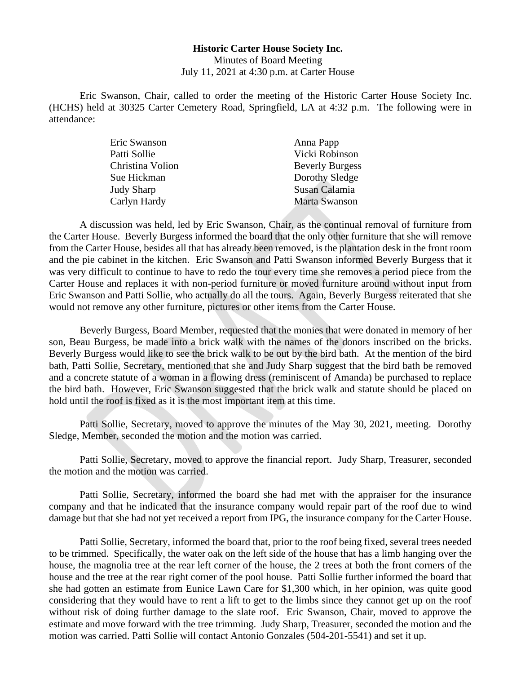## **Historic Carter House Society Inc.** Minutes of Board Meeting July 11, 2021 at 4:30 p.m. at Carter House

Eric Swanson, Chair, called to order the meeting of the Historic Carter House Society Inc. (HCHS) held at 30325 Carter Cemetery Road, Springfield, LA at 4:32 p.m. The following were in attendance:

| Eric Swanson     | Anna Papp              |
|------------------|------------------------|
| Patti Sollie     | Vicki Robinson         |
| Christina Volion | <b>Beverly Burgess</b> |
| Sue Hickman      | Dorothy Sledge         |
| Judy Sharp       | Susan Calamia          |
| Carlyn Hardy     | Marta Swanson          |

A discussion was held, led by Eric Swanson, Chair, as the continual removal of furniture from the Carter House. Beverly Burgess informed the board that the only other furniture that she will remove from the Carter House, besides all that has already been removed, is the plantation desk in the front room and the pie cabinet in the kitchen. Eric Swanson and Patti Swanson informed Beverly Burgess that it was very difficult to continue to have to redo the tour every time she removes a period piece from the Carter House and replaces it with non-period furniture or moved furniture around without input from Eric Swanson and Patti Sollie, who actually do all the tours. Again, Beverly Burgess reiterated that she would not remove any other furniture, pictures or other items from the Carter House.

Beverly Burgess, Board Member, requested that the monies that were donated in memory of her son, Beau Burgess, be made into a brick walk with the names of the donors inscribed on the bricks. Beverly Burgess would like to see the brick walk to be out by the bird bath. At the mention of the bird bath, Patti Sollie, Secretary, mentioned that she and Judy Sharp suggest that the bird bath be removed and a concrete statute of a woman in a flowing dress (reminiscent of Amanda) be purchased to replace the bird bath. However, Eric Swanson suggested that the brick walk and statute should be placed on hold until the roof is fixed as it is the most important item at this time.

Patti Sollie, Secretary, moved to approve the minutes of the May 30, 2021, meeting. Dorothy Sledge, Member, seconded the motion and the motion was carried.

Patti Sollie, Secretary, moved to approve the financial report. Judy Sharp, Treasurer, seconded the motion and the motion was carried.

Patti Sollie, Secretary, informed the board she had met with the appraiser for the insurance company and that he indicated that the insurance company would repair part of the roof due to wind damage but that she had not yet received a report from IPG, the insurance company for the Carter House.

Patti Sollie, Secretary, informed the board that, prior to the roof being fixed, several trees needed to be trimmed. Specifically, the water oak on the left side of the house that has a limb hanging over the house, the magnolia tree at the rear left corner of the house, the 2 trees at both the front corners of the house and the tree at the rear right corner of the pool house. Patti Sollie further informed the board that she had gotten an estimate from Eunice Lawn Care for \$1,300 which, in her opinion, was quite good considering that they would have to rent a lift to get to the limbs since they cannot get up on the roof without risk of doing further damage to the slate roof. Eric Swanson, Chair, moved to approve the estimate and move forward with the tree trimming. Judy Sharp, Treasurer, seconded the motion and the motion was carried. Patti Sollie will contact Antonio Gonzales (504-201-5541) and set it up.